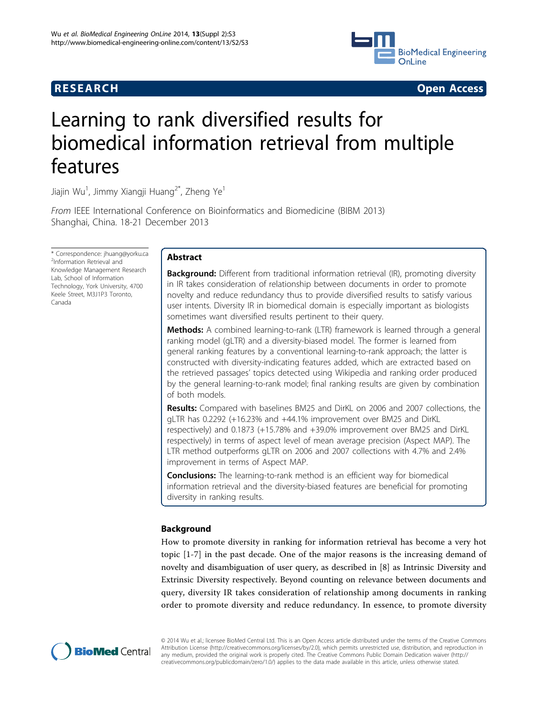

**RESEARCH CONSTRUCTED ACCESS** 

# Learning to rank diversified results for biomedical information retrieval from multiple features

Jiajin Wu<sup>1</sup>, Jimmy Xiangji Huang<sup>2\*</sup>, Zheng Ye<sup>1</sup>

From IEEE International Conference on Bioinformatics and Biomedicine (BIBM 2013) Shanghai, China. 18-21 December 2013

\* Correspondence: [jhuang@yorku.ca](mailto:<?twb=0.28w?><?tlsb=-0.01w?>jhuang@yorku.ca) 2 Information Retrieval and Knowledge Management Research Lab, School of Information Technology, York University, 4700 Keele Street, M3J1P3 Toronto, Canada

# Abstract

**Background:** Different from traditional information retrieval (IR), promoting diversity in IR takes consideration of relationship between documents in order to promote novelty and reduce redundancy thus to provide diversified results to satisfy various user intents. Diversity IR in biomedical domain is especially important as biologists sometimes want diversified results pertinent to their query.

Methods: A combined learning-to-rank (LTR) framework is learned through a general ranking model (gLTR) and a diversity-biased model. The former is learned from general ranking features by a conventional learning-to-rank approach; the latter is constructed with diversity-indicating features added, which are extracted based on the retrieved passages' topics detected using Wikipedia and ranking order produced by the general learning-to-rank model; final ranking results are given by combination of both models.

Results: Compared with baselines BM25 and DirKL on 2006 and 2007 collections, the gLTR has 0.2292 (+16.23% and +44.1% improvement over BM25 and DirKL respectively) and 0.1873 (+15.78% and +39.0% improvement over BM25 and DirKL respectively) in terms of aspect level of mean average precision (Aspect MAP). The LTR method outperforms gLTR on 2006 and 2007 collections with 4.7% and 2.4% improvement in terms of Aspect MAP.

**Conclusions:** The learning-to-rank method is an efficient way for biomedical information retrieval and the diversity-biased features are beneficial for promoting diversity in ranking results.

# Background

How to promote diversity in ranking for information retrieval has become a very hot topic [\[1](#page-8-0)-[7\]](#page-8-0) in the past decade. One of the major reasons is the increasing demand of novelty and disambiguation of user query, as described in [[8\]](#page-8-0) as Intrinsic Diversity and Extrinsic Diversity respectively. Beyond counting on relevance between documents and query, diversity IR takes consideration of relationship among documents in ranking order to promote diversity and reduce redundancy. In essence, to promote diversity



© 2014 Wu et al.; licensee BioMed Central Ltd. This is an Open Access article distributed under the terms of the Creative Commons Attribution License [\(http://creativecommons.org/licenses/by/2.0](http://creativecommons.org/licenses/by/2.0)), which permits unrestricted use, distribution, and reproduction in any medium, provided the original work is properly cited. The Creative Commons Public Domain Dedication waiver [\(http://](http://creativecommons.org/publicdomain/zero/1.0/) [creativecommons.org/publicdomain/zero/1.0/](http://creativecommons.org/publicdomain/zero/1.0/)) applies to the data made available in this article, unless otherwise stated.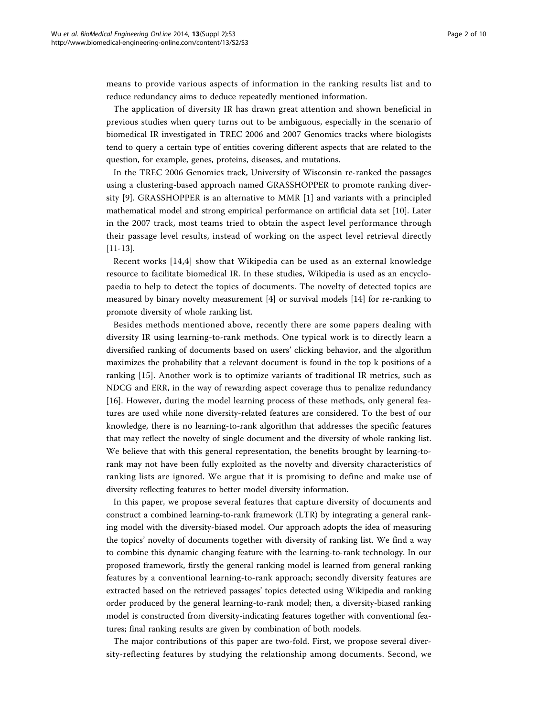means to provide various aspects of information in the ranking results list and to reduce redundancy aims to deduce repeatedly mentioned information.

The application of diversity IR has drawn great attention and shown beneficial in previous studies when query turns out to be ambiguous, especially in the scenario of biomedical IR investigated in TREC 2006 and 2007 Genomics tracks where biologists tend to query a certain type of entities covering different aspects that are related to the question, for example, genes, proteins, diseases, and mutations.

In the TREC 2006 Genomics track, University of Wisconsin re-ranked the passages using a clustering-based approach named GRASSHOPPER to promote ranking diversity [[9\]](#page-8-0). GRASSHOPPER is an alternative to MMR [[1](#page-8-0)] and variants with a principled mathematical model and strong empirical performance on artificial data set [[10\]](#page-8-0). Later in the 2007 track, most teams tried to obtain the aspect level performance through their passage level results, instead of working on the aspect level retrieval directly [[11-13\]](#page-9-0).

Recent works [[14,](#page-9-0)[4\]](#page-8-0) show that Wikipedia can be used as an external knowledge resource to facilitate biomedical IR. In these studies, Wikipedia is used as an encyclopaedia to help to detect the topics of documents. The novelty of detected topics are measured by binary novelty measurement [\[4](#page-8-0)] or survival models [[14](#page-9-0)] for re-ranking to promote diversity of whole ranking list.

Besides methods mentioned above, recently there are some papers dealing with diversity IR using learning-to-rank methods. One typical work is to directly learn a diversified ranking of documents based on users' clicking behavior, and the algorithm maximizes the probability that a relevant document is found in the top k positions of a ranking [[15\]](#page-9-0). Another work is to optimize variants of traditional IR metrics, such as NDCG and ERR, in the way of rewarding aspect coverage thus to penalize redundancy [[16\]](#page-9-0). However, during the model learning process of these methods, only general features are used while none diversity-related features are considered. To the best of our knowledge, there is no learning-to-rank algorithm that addresses the specific features that may reflect the novelty of single document and the diversity of whole ranking list. We believe that with this general representation, the benefits brought by learning-torank may not have been fully exploited as the novelty and diversity characteristics of ranking lists are ignored. We argue that it is promising to define and make use of diversity reflecting features to better model diversity information.

In this paper, we propose several features that capture diversity of documents and construct a combined learning-to-rank framework (LTR) by integrating a general ranking model with the diversity-biased model. Our approach adopts the idea of measuring the topics' novelty of documents together with diversity of ranking list. We find a way to combine this dynamic changing feature with the learning-to-rank technology. In our proposed framework, firstly the general ranking model is learned from general ranking features by a conventional learning-to-rank approach; secondly diversity features are extracted based on the retrieved passages' topics detected using Wikipedia and ranking order produced by the general learning-to-rank model; then, a diversity-biased ranking model is constructed from diversity-indicating features together with conventional features; final ranking results are given by combination of both models.

The major contributions of this paper are two-fold. First, we propose several diversity-reflecting features by studying the relationship among documents. Second, we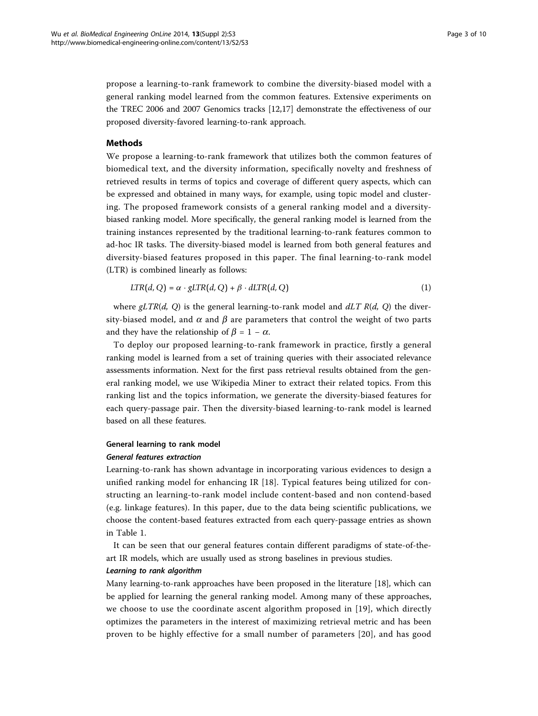propose a learning-to-rank framework to combine the diversity-biased model with a general ranking model learned from the common features. Extensive experiments on the TREC 2006 and 2007 Genomics tracks [\[12,17\]](#page-9-0) demonstrate the effectiveness of our proposed diversity-favored learning-to-rank approach.

# Methods

We propose a learning-to-rank framework that utilizes both the common features of biomedical text, and the diversity information, specifically novelty and freshness of retrieved results in terms of topics and coverage of different query aspects, which can be expressed and obtained in many ways, for example, using topic model and clustering. The proposed framework consists of a general ranking model and a diversitybiased ranking model. More specifically, the general ranking model is learned from the training instances represented by the traditional learning-to-rank features common to ad-hoc IR tasks. The diversity-biased model is learned from both general features and diversity-biased features proposed in this paper. The final learning-to-rank model (LTR) is combined linearly as follows:

$$
LTR(d, Q) = \alpha \cdot gLTR(d, Q) + \beta \cdot dLTR(d, Q)
$$
\n(1)

where gLTR(d, O) is the general learning-to-rank model and  $dLT R(d, 0)$  the diversity-biased model, and  $\alpha$  and  $\beta$  are parameters that control the weight of two parts and they have the relationship of  $\beta = 1 - \alpha$ .

To deploy our proposed learning-to-rank framework in practice, firstly a general ranking model is learned from a set of training queries with their associated relevance assessments information. Next for the first pass retrieval results obtained from the general ranking model, we use Wikipedia Miner to extract their related topics. From this ranking list and the topics information, we generate the diversity-biased features for each query-passage pair. Then the diversity-biased learning-to-rank model is learned based on all these features.

#### General learning to rank model

#### General features extraction

Learning-to-rank has shown advantage in incorporating various evidences to design a unified ranking model for enhancing IR [[18](#page-9-0)]. Typical features being utilized for constructing an learning-to-rank model include content-based and non contend-based (e.g. linkage features). In this paper, due to the data being scientific publications, we choose the content-based features extracted from each query-passage entries as shown in Table [1.](#page-3-0)

It can be seen that our general features contain different paradigms of state-of-theart IR models, which are usually used as strong baselines in previous studies.

# Learning to rank algorithm

Many learning-to-rank approaches have been proposed in the literature [[18\]](#page-9-0), which can be applied for learning the general ranking model. Among many of these approaches, we choose to use the coordinate ascent algorithm proposed in [[19](#page-9-0)], which directly optimizes the parameters in the interest of maximizing retrieval metric and has been proven to be highly effective for a small number of parameters [[20](#page-9-0)], and has good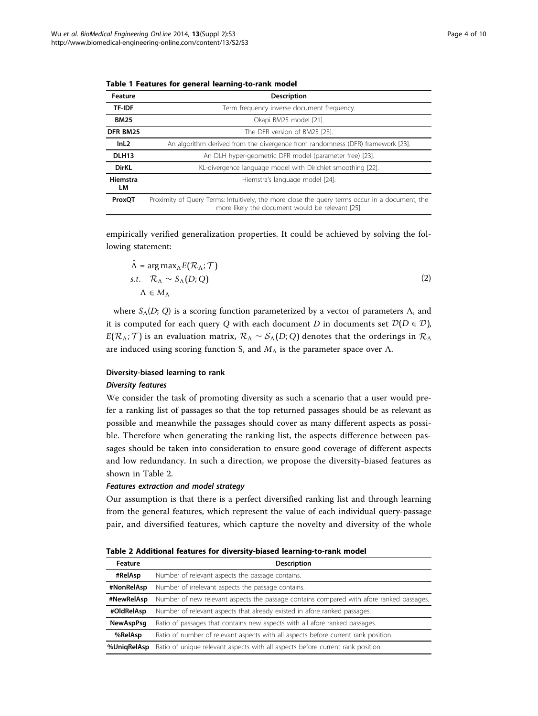<span id="page-3-0"></span>Table 1 Features for general learning-to-rank model

| Feature           | <b>Description</b>                                                                                                                                 |  |  |  |  |  |
|-------------------|----------------------------------------------------------------------------------------------------------------------------------------------------|--|--|--|--|--|
| <b>TF-IDF</b>     | Term frequency inverse document frequency.                                                                                                         |  |  |  |  |  |
| <b>BM25</b>       | Okapi BM25 model [21].                                                                                                                             |  |  |  |  |  |
| DFR BM25          | The DFR version of BM25 [23].                                                                                                                      |  |  |  |  |  |
| lnL2              | An algorithm derived from the divergence from randomness (DFR) framework [23].                                                                     |  |  |  |  |  |
| DLH <sub>13</sub> | An DLH hyper-geometric DFR model (parameter free) [23].                                                                                            |  |  |  |  |  |
| <b>DirKL</b>      | KL-divergence language model with Dirichlet smoothing [22].                                                                                        |  |  |  |  |  |
| Hiemstra<br>LM    | Hiemstra's language model [24].                                                                                                                    |  |  |  |  |  |
| ProxOT            | Proximity of Query Terms: Intuitively, the more close the query terms occur in a document, the<br>more likely the document would be relevant [25]. |  |  |  |  |  |

empirically verified generalization properties. It could be achieved by solving the following statement:

$$
\hat{\Lambda} = \arg \max_{\Lambda} E(\mathcal{R}_{\Lambda}; \mathcal{T})
$$
  
s.t.  $\mathcal{R}_{\Lambda} \sim S_{\Lambda}(D; Q)$   
 $\Lambda \in M_{\Lambda}$  (2)

where  $S_{\Lambda}(D; Q)$  is a scoring function parameterized by a vector of parameters  $\Lambda$ , and it is computed for each query Q with each document D in documents set  $\mathcal{D}(D \in \mathcal{D})$ , *E*( $\mathcal{R}_{\Lambda}$ ; *T*) is an evaluation matrix,  $\mathcal{R}_{\Lambda} \sim \mathcal{S}_{\Lambda}(D; Q)$  denotes that the orderings in  $\mathcal{R}_{\Lambda}$ are induced using scoring function S, and  $M_\Lambda$  is the parameter space over  $\Lambda$ .

# Diversity-biased learning to rank

# Diversity features

We consider the task of promoting diversity as such a scenario that a user would prefer a ranking list of passages so that the top returned passages should be as relevant as possible and meanwhile the passages should cover as many different aspects as possible. Therefore when generating the ranking list, the aspects difference between passages should be taken into consideration to ensure good coverage of different aspects and low redundancy. In such a direction, we propose the diversity-biased features as shown in Table 2.

# Features extraction and model strategy

Our assumption is that there is a perfect diversified ranking list and through learning from the general features, which represent the value of each individual query-passage pair, and diversified features, which capture the novelty and diversity of the whole

| Feature          | <b>Description</b>                                                                       |  |  |  |  |
|------------------|------------------------------------------------------------------------------------------|--|--|--|--|
| #RelAsp          | Number of relevant aspects the passage contains.                                         |  |  |  |  |
| #NonRelAsp       | Number of irrelevant aspects the passage contains.                                       |  |  |  |  |
| #NewRelAsp       | Number of new relevant aspects the passage contains compared with afore ranked passages. |  |  |  |  |
| #OldRelAsp       | Number of relevant aspects that already existed in afore ranked passages.                |  |  |  |  |
| <b>NewAspPsg</b> | Ratio of passages that contains new aspects with all afore ranked passages.              |  |  |  |  |
| %RelAsp          | Ratio of number of relevant aspects with all aspects before current rank position.       |  |  |  |  |
| %UnigRelAsp      | Ratio of unique relevant aspects with all aspects before current rank position.          |  |  |  |  |

Table 2 Additional features for diversity-biased learning-to-rank model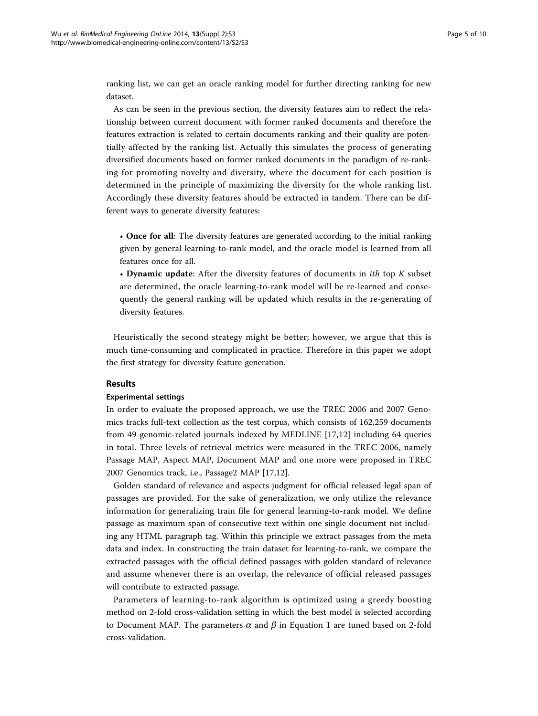ranking list, we can get an oracle ranking model for further directing ranking for new dataset.

As can be seen in the previous section, the diversity features aim to reflect the relationship between current document with former ranked documents and therefore the features extraction is related to certain documents ranking and their quality are potentially affected by the ranking list. Actually this simulates the process of generating diversified documents based on former ranked documents in the paradigm of re-ranking for promoting novelty and diversity, where the document for each position is determined in the principle of maximizing the diversity for the whole ranking list. Accordingly these diversity features should be extracted in tandem. There can be different ways to generate diversity features:

• Once for all: The diversity features are generated according to the initial ranking given by general learning-to-rank model, and the oracle model is learned from all features once for all.

• Dynamic update: After the diversity features of documents in  $ith$  top  $K$  subset are determined, the oracle learning-to-rank model will be re-learned and consequently the general ranking will be updated which results in the re-generating of diversity features.

Heuristically the second strategy might be better; however, we argue that this is much time-consuming and complicated in practice. Therefore in this paper we adopt the first strategy for diversity feature generation.

# Results

# Experimental settings

In order to evaluate the proposed approach, we use the TREC 2006 and 2007 Genomics tracks full-text collection as the test corpus, which consists of 162,259 documents from 49 genomic-related journals indexed by MEDLINE [[17,12](#page-9-0)] including 64 queries in total. Three levels of retrieval metrics were measured in the TREC 2006, namely Passage MAP, Aspect MAP, Document MAP and one more were proposed in TREC 2007 Genomics track, i.e., Passage2 MAP [[17,12](#page-9-0)].

Golden standard of relevance and aspects judgment for official released legal span of passages are provided. For the sake of generalization, we only utilize the relevance information for generalizing train file for general learning-to-rank model. We define passage as maximum span of consecutive text within one single document not including any HTML paragraph tag. Within this principle we extract passages from the meta data and index. In constructing the train dataset for learning-to-rank, we compare the extracted passages with the official defined passages with golden standard of relevance and assume whenever there is an overlap, the relevance of official released passages will contribute to extracted passage.

Parameters of learning-to-rank algorithm is optimized using a greedy boosting method on 2-fold cross-validation setting in which the best model is selected according to Document MAP. The parameters  $\alpha$  and  $\beta$  in Equation 1 are tuned based on 2-fold cross-validation.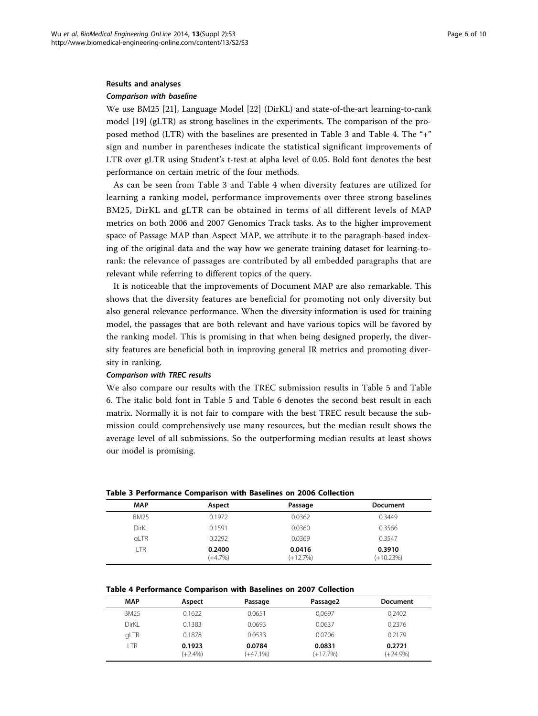#### Results and analyses

#### Comparison with baseline

We use BM25 [\[21\]](#page-9-0), Language Model [\[22](#page-9-0)] (DirKL) and state-of-the-art learning-to-rank model [[19](#page-9-0)] (gLTR) as strong baselines in the experiments. The comparison of the proposed method (LTR) with the baselines are presented in Table 3 and Table 4. The "+" sign and number in parentheses indicate the statistical significant improvements of LTR over gLTR using Student's t-test at alpha level of 0.05. Bold font denotes the best performance on certain metric of the four methods.

As can be seen from Table 3 and Table 4 when diversity features are utilized for learning a ranking model, performance improvements over three strong baselines BM25, DirKL and gLTR can be obtained in terms of all different levels of MAP metrics on both 2006 and 2007 Genomics Track tasks. As to the higher improvement space of Passage MAP than Aspect MAP, we attribute it to the paragraph-based indexing of the original data and the way how we generate training dataset for learning-torank: the relevance of passages are contributed by all embedded paragraphs that are relevant while referring to different topics of the query.

It is noticeable that the improvements of Document MAP are also remarkable. This shows that the diversity features are beneficial for promoting not only diversity but also general relevance performance. When the diversity information is used for training model, the passages that are both relevant and have various topics will be favored by the ranking model. This is promising in that when being designed properly, the diversity features are beneficial both in improving general IR metrics and promoting diversity in ranking.

# Comparison with TREC results

We also compare our results with the TREC submission results in Table [5](#page-6-0) and Table [6.](#page-6-0) The italic bold font in Table [5](#page-6-0) and Table [6](#page-6-0) denotes the second best result in each matrix. Normally it is not fair to compare with the best TREC result because the submission could comprehensively use many resources, but the median result shows the average level of all submissions. So the outperforming median results at least shows our model is promising.

| Aspect              | Passage              | <b>Document</b>       |
|---------------------|----------------------|-----------------------|
| 0.1972              | 0.0362               | 0.3449                |
| 0.1591              | 0.0360               | 0.3566                |
| 0.2292              | 0.0369               | 0.3547                |
| 0.2400<br>$(+4.7%)$ | 0.0416<br>$(+12.7%)$ | 0.3910<br>$(+10.23%)$ |
|                     |                      | .                     |

#### Table 4 Performance Comparison with Baselines on 2007 Collection

| <b>MAP</b>  | Aspect               | Passage            | Passage2             | <b>Document</b>    |
|-------------|----------------------|--------------------|----------------------|--------------------|
| <b>BM25</b> | 0.1622               | 0.0651             | 0.0697               | 0.2402             |
| DirKL       | 0.1383               | 0.0693             | 0.0637               | 0.2376             |
| <b>aLTR</b> | 0.1878               | 0.0533             | 0.0706               | 0.2179             |
| l TR        | 0.1923<br>$(+2.4\%)$ | 0.0784<br>(+47.1%) | 0.0831<br>$(+17.7%)$ | 0.2721<br>(+24.9%) |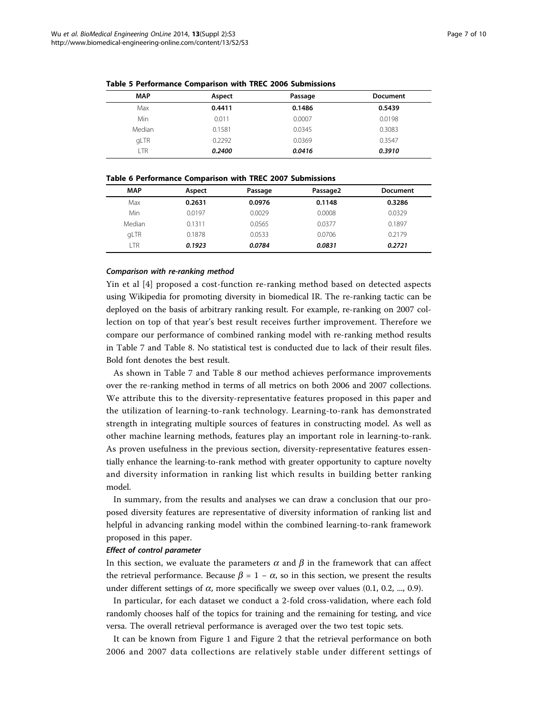| <b>MAP</b> | Aspect | Passage | <b>Document</b> |
|------------|--------|---------|-----------------|
| Max        | 0.4411 | 0.1486  | 0.5439          |
| Min        | 0.011  | 0.0007  | 0.0198          |
| Median     | 0.1581 | 0.0345  | 0.3083          |
| gLTR       | 0.2292 | 0.0369  | 0.3547          |
| LTR        | 0.2400 | 0.0416  | 0.3910          |

<span id="page-6-0"></span>Table 5 Performance Comparison with TREC 2006 Submissions

#### Table 6 Performance Comparison with TREC 2007 Submissions

| <b>MAP</b> | Aspect | Passage | Passage2 | <b>Document</b> |
|------------|--------|---------|----------|-----------------|
| Max        | 0.2631 | 0.0976  | 0.1148   | 0.3286          |
| Min        | 0.0197 | 0.0029  | 0.0008   | 0.0329          |
| Median     | 0.1311 | 0.0565  | 0.0377   | 0.1897          |
| qLTR       | 0.1878 | 0.0533  | 0.0706   | 0.2179          |
| '.TR       | 0.1923 | 0.0784  | 0.0831   | 0.2721          |

#### Comparison with re-ranking method

Yin et al [[4](#page-8-0)] proposed a cost-function re-ranking method based on detected aspects using Wikipedia for promoting diversity in biomedical IR. The re-ranking tactic can be deployed on the basis of arbitrary ranking result. For example, re-ranking on 2007 collection on top of that year's best result receives further improvement. Therefore we compare our performance of combined ranking model with re-ranking method results in Table [7](#page-7-0) and Table [8](#page-7-0). No statistical test is conducted due to lack of their result files. Bold font denotes the best result.

As shown in Table [7](#page-7-0) and Table [8](#page-7-0) our method achieves performance improvements over the re-ranking method in terms of all metrics on both 2006 and 2007 collections. We attribute this to the diversity-representative features proposed in this paper and the utilization of learning-to-rank technology. Learning-to-rank has demonstrated strength in integrating multiple sources of features in constructing model. As well as other machine learning methods, features play an important role in learning-to-rank. As proven usefulness in the previous section, diversity-representative features essentially enhance the learning-to-rank method with greater opportunity to capture novelty and diversity information in ranking list which results in building better ranking model.

In summary, from the results and analyses we can draw a conclusion that our proposed diversity features are representative of diversity information of ranking list and helpful in advancing ranking model within the combined learning-to-rank framework proposed in this paper.

# Effect of control parameter

In this section, we evaluate the parameters  $\alpha$  and  $\beta$  in the framework that can affect the retrieval performance. Because  $\beta = 1 - \alpha$ , so in this section, we present the results under different settings of  $\alpha$ , more specifically we sweep over values (0.1, 0.2, ..., 0.9).

In particular, for each dataset we conduct a 2-fold cross-validation, where each fold randomly chooses half of the topics for training and the remaining for testing, and vice versa. The overall retrieval performance is averaged over the two test topic sets.

It can be known from Figure [1](#page-7-0) and Figure [2](#page-7-0) that the retrieval performance on both 2006 and 2007 data collections are relatively stable under different settings of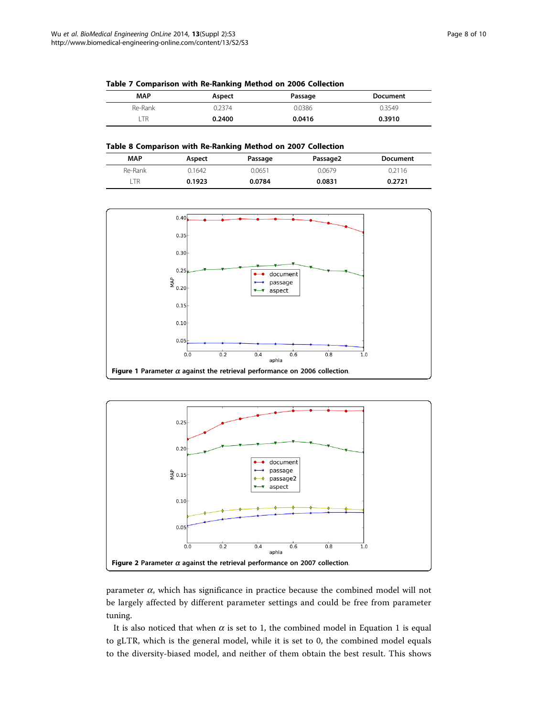|            | --     |         |                 |
|------------|--------|---------|-----------------|
| <b>MAP</b> | Aspect | Passage | <b>Document</b> |
| Re-Rank    | ).2374 | 0.0386  | 0.3549          |
| _TR        | 0.2400 | 0.0416  | 0.3910          |

<span id="page-7-0"></span>Table 7 Comparison with Re-Ranking Method on 2006 Collection

|  | Table 8 Comparison with Re-Ranking Method on 2007 Collection |  |  |  |  |  |  |
|--|--------------------------------------------------------------|--|--|--|--|--|--|
|--|--------------------------------------------------------------|--|--|--|--|--|--|

| <b>MAP</b> | Aspect | Passage | Passage2 | Document |
|------------|--------|---------|----------|----------|
| Re-Rank    | 0.1642 | 0.0651  | 0.0679   | 0.2116   |
| .TR        | 0.1923 | 0.0784  | 0.0831   | 0.2721   |





parameter  $\alpha$ , which has significance in practice because the combined model will not be largely affected by different parameter settings and could be free from parameter tuning.

It is also noticed that when  $\alpha$  is set to 1, the combined model in Equation 1 is equal to gLTR, which is the general model, while it is set to 0, the combined model equals to the diversity-biased model, and neither of them obtain the best result. This shows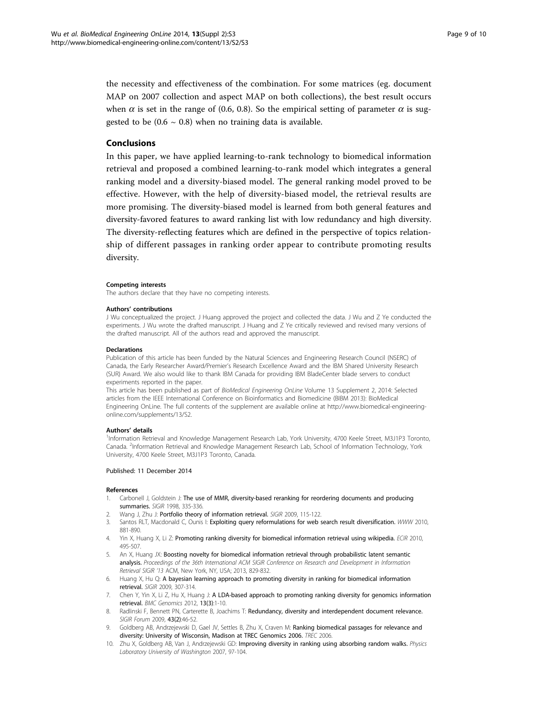<span id="page-8-0"></span>the necessity and effectiveness of the combination. For some matrices (eg. document MAP on 2007 collection and aspect MAP on both collections), the best result occurs when  $\alpha$  is set in the range of (0.6, 0.8). So the empirical setting of parameter  $\alpha$  is suggested to be  $(0.6 \sim 0.8)$  when no training data is available.

# Conclusions

In this paper, we have applied learning-to-rank technology to biomedical information retrieval and proposed a combined learning-to-rank model which integrates a general ranking model and a diversity-biased model. The general ranking model proved to be effective. However, with the help of diversity-biased model, the retrieval results are more promising. The diversity-biased model is learned from both general features and diversity-favored features to award ranking list with low redundancy and high diversity. The diversity-reflecting features which are defined in the perspective of topics relationship of different passages in ranking order appear to contribute promoting results diversity.

#### Competing interests

The authors declare that they have no competing interests.

#### Authors' contributions

J Wu conceptualized the project. J Huang approved the project and collected the data. J Wu and Z Ye conducted the experiments. J Wu wrote the drafted manuscript. J Huang and Z Ye critically reviewed and revised many versions of the drafted manuscript. All of the authors read and approved the manuscript.

#### Declarations

Publication of this article has been funded by the Natural Sciences and Engineering Research Council (NSERC) of Canada, the Early Researcher Award/Premier's Research Excellence Award and the IBM Shared University Research (SUR) Award. We also would like to thank IBM Canada for providing IBM BladeCenter blade servers to conduct experiments reported in the paper.

This article has been published as part of BioMedical Engineering OnLine Volume 13 Supplement 2, 2014: Selected articles from the IEEE International Conference on Bioinformatics and Biomedicine (BIBM 2013): BioMedical Engineering OnLine. The full contents of the supplement are available online at [http://www.biomedical-engineering](http://www.biomedical-engineering-online.com/supplements/13/S2)[online.com/supplements/13/S2](http://www.biomedical-engineering-online.com/supplements/13/S2).

#### Authors' details <sup>1</sup>

<sup>1</sup>Information Retrieval and Knowledge Management Research Lab, York University, 4700 Keele Street, M3J1P3 Toronto, Canada. <sup>2</sup>Information Retrieval and Knowledge Management Research Lab, School of Information Technology, York University, 4700 Keele Street, M3J1P3 Toronto, Canada.

#### Published: 11 December 2014

#### References

- 1. Carbonell J, Goldstein J: The use of MMR, diversity-based reranking for reordering documents and producing summaries. SIGIR 1998, 335-336.
- 2. Wang J, Zhu J: Portfolio theory of information retrieval. SIGIR 2009, 115-122.
- 3. Santos RLT, Macdonald C, Ounis I: Exploiting query reformulations for web search result diversification. WWW 2010, 881-890.
- 4. Yin X, Huang X, Li Z: Promoting ranking diversity for biomedical information retrieval using wikipedia. ECIR 2010, 495-507.
- 5. An X, Huang JX: Boosting novelty for biomedical information retrieval through probabilistic latent semantic analysis. Proceedings of the 36th International ACM SIGIR Conference on Research and Development in Information Retrieval SIGIR '13 ACM, New York, NY, USA; 2013, 829-832.
- 6. Huang X, Hu Q: A bayesian learning approach to promoting diversity in ranking for biomedical information retrieval. SIGIR 2009, 307-314.
- 7. Chen Y, Yin X, Li Z, Hu X, Huang J: [A LDA-based approach to promoting ranking diversity for genomics information](http://www.ncbi.nlm.nih.gov/pubmed/22214261?dopt=Abstract) [retrieval.](http://www.ncbi.nlm.nih.gov/pubmed/22214261?dopt=Abstract) BMC Genomics 2012, 13(3):1-10.
- 8. Radlinski F, Bennett PN, Carterette B, Joachims T: Redundancy, diversity and interdependent document relevance. SIGIR Forum 2009, 43(2):46-52.
- 9. Goldberg AB, Andrzejewski D, Gael JV, Settles B, Zhu X, Craven M: Ranking biomedical passages for relevance and diversity: University of Wisconsin, Madison at TREC Genomics 2006. TREC 2006.
- 10. Zhu X, Goldberg AB, Van J, Andrzejewski GD: Improving diversity in ranking using absorbing random walks. Physics Laboratory University of Washington 2007, 97-104.